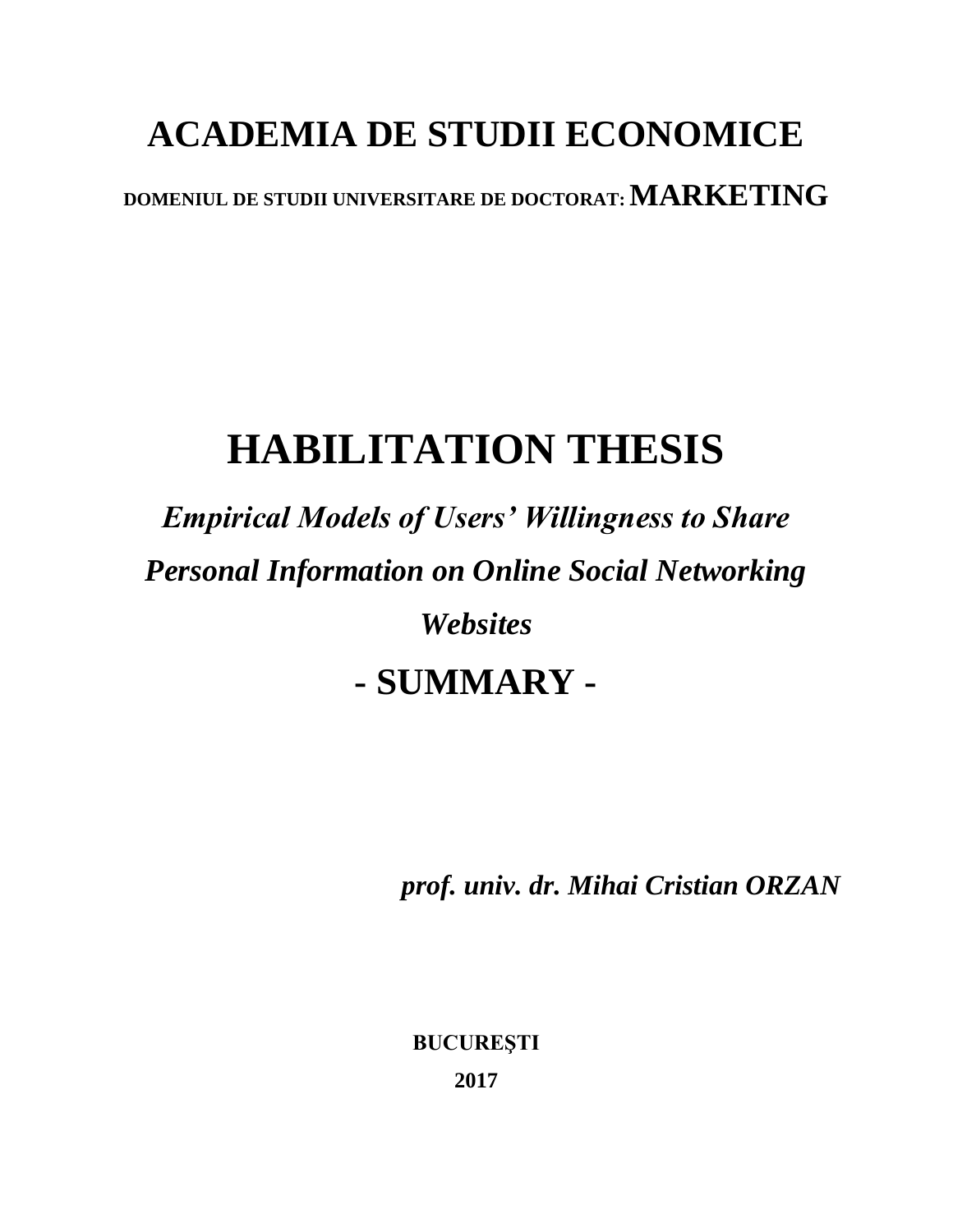## **ACADEMIA DE STUDII ECONOMICE**

**DOMENIUL DE STUDII UNIVERSITARE DE DOCTORAT: MARKETING**

## **HABILITATION THESIS**

*Empirical Models of Users' Willingness to Share Personal Information on Online Social Networking Websites* **- SUMMARY -**

*prof. univ. dr. Mihai Cristian ORZAN*

**BUCUREŞTI 2017**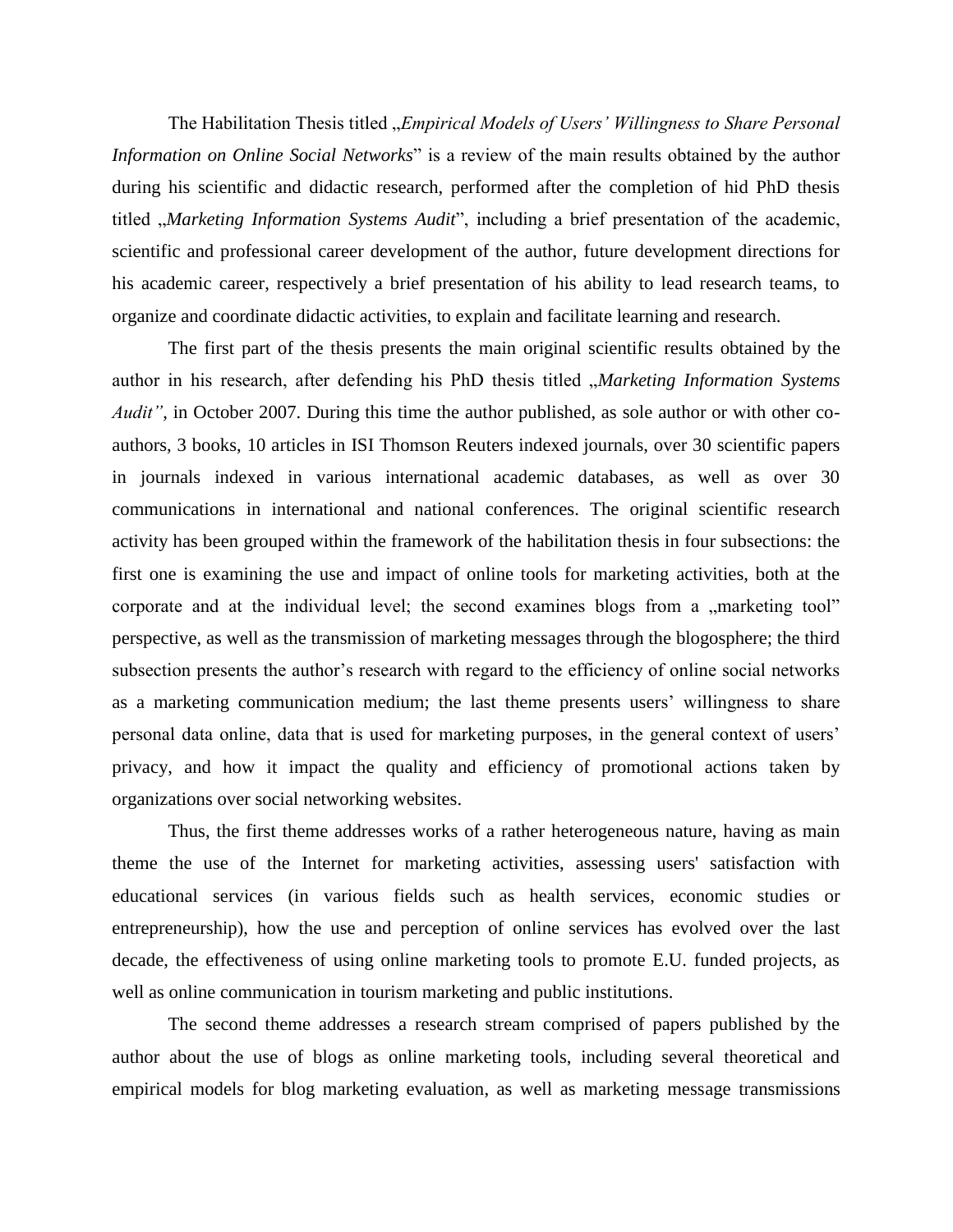The Habilitation Thesis titled "*Empirical Models of Users' Willingness to Share Personal Information on Online Social Networks*" is a review of the main results obtained by the author during his scientific and didactic research, performed after the completion of hid PhD thesis titled *"Marketing Information Systems Audit*", including a brief presentation of the academic, scientific and professional career development of the author, future development directions for his academic career, respectively a brief presentation of his ability to lead research teams, to organize and coordinate didactic activities, to explain and facilitate learning and research.

The first part of the thesis presents the main original scientific results obtained by the author in his research, after defending his PhD thesis titled *"Marketing Information Systems Audit"*, in October 2007. During this time the author published, as sole author or with other coauthors, 3 books, 10 articles in ISI Thomson Reuters indexed journals, over 30 scientific papers in journals indexed in various international academic databases, as well as over 30 communications in international and national conferences. The original scientific research activity has been grouped within the framework of the habilitation thesis in four subsections: the first one is examining the use and impact of online tools for marketing activities, both at the corporate and at the individual level; the second examines blogs from a "marketing tool" perspective, as well as the transmission of marketing messages through the blogosphere; the third subsection presents the author's research with regard to the efficiency of online social networks as a marketing communication medium; the last theme presents users' willingness to share personal data online, data that is used for marketing purposes, in the general context of users' privacy, and how it impact the quality and efficiency of promotional actions taken by organizations over social networking websites.

Thus, the first theme addresses works of a rather heterogeneous nature, having as main theme the use of the Internet for marketing activities, assessing users' satisfaction with educational services (in various fields such as health services, economic studies or entrepreneurship), how the use and perception of online services has evolved over the last decade, the effectiveness of using online marketing tools to promote E.U. funded projects, as well as online communication in tourism marketing and public institutions.

The second theme addresses a research stream comprised of papers published by the author about the use of blogs as online marketing tools, including several theoretical and empirical models for blog marketing evaluation, as well as marketing message transmissions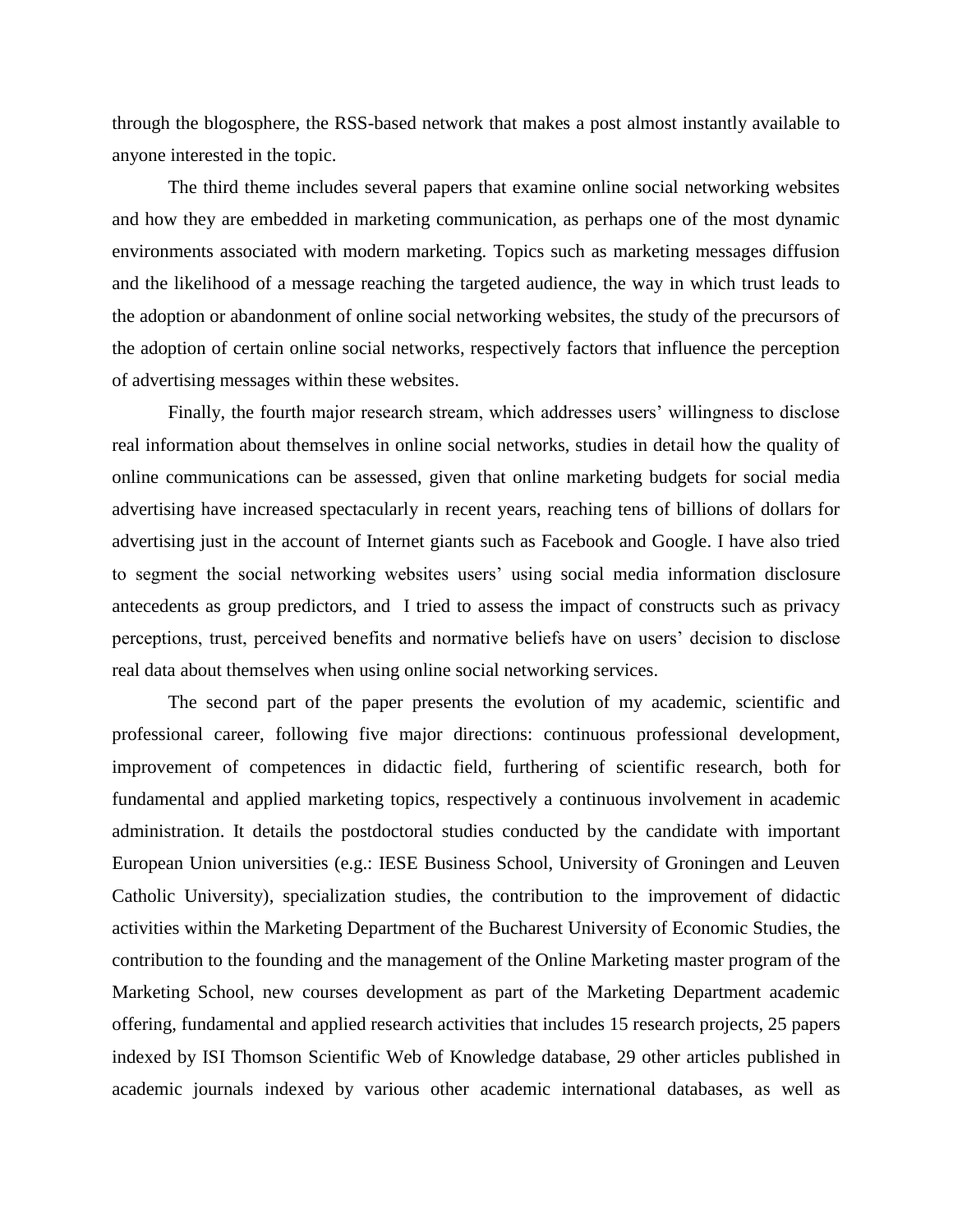through the blogosphere, the RSS-based network that makes a post almost instantly available to anyone interested in the topic.

The third theme includes several papers that examine online social networking websites and how they are embedded in marketing communication, as perhaps one of the most dynamic environments associated with modern marketing. Topics such as marketing messages diffusion and the likelihood of a message reaching the targeted audience, the way in which trust leads to the adoption or abandonment of online social networking websites, the study of the precursors of the adoption of certain online social networks, respectively factors that influence the perception of advertising messages within these websites.

Finally, the fourth major research stream, which addresses users' willingness to disclose real information about themselves in online social networks, studies in detail how the quality of online communications can be assessed, given that online marketing budgets for social media advertising have increased spectacularly in recent years, reaching tens of billions of dollars for advertising just in the account of Internet giants such as Facebook and Google. I have also tried to segment the social networking websites users' using social media information disclosure antecedents as group predictors, and I tried to assess the impact of constructs such as privacy perceptions, trust, perceived benefits and normative beliefs have on users' decision to disclose real data about themselves when using online social networking services.

The second part of the paper presents the evolution of my academic, scientific and professional career, following five major directions: continuous professional development, improvement of competences in didactic field, furthering of scientific research, both for fundamental and applied marketing topics, respectively a continuous involvement in academic administration. It details the postdoctoral studies conducted by the candidate with important European Union universities (e.g.: IESE Business School, University of Groningen and Leuven Catholic University), specialization studies, the contribution to the improvement of didactic activities within the Marketing Department of the Bucharest University of Economic Studies, the contribution to the founding and the management of the Online Marketing master program of the Marketing School, new courses development as part of the Marketing Department academic offering, fundamental and applied research activities that includes 15 research projects, 25 papers indexed by ISI Thomson Scientific Web of Knowledge database, 29 other articles published in academic journals indexed by various other academic international databases, as well as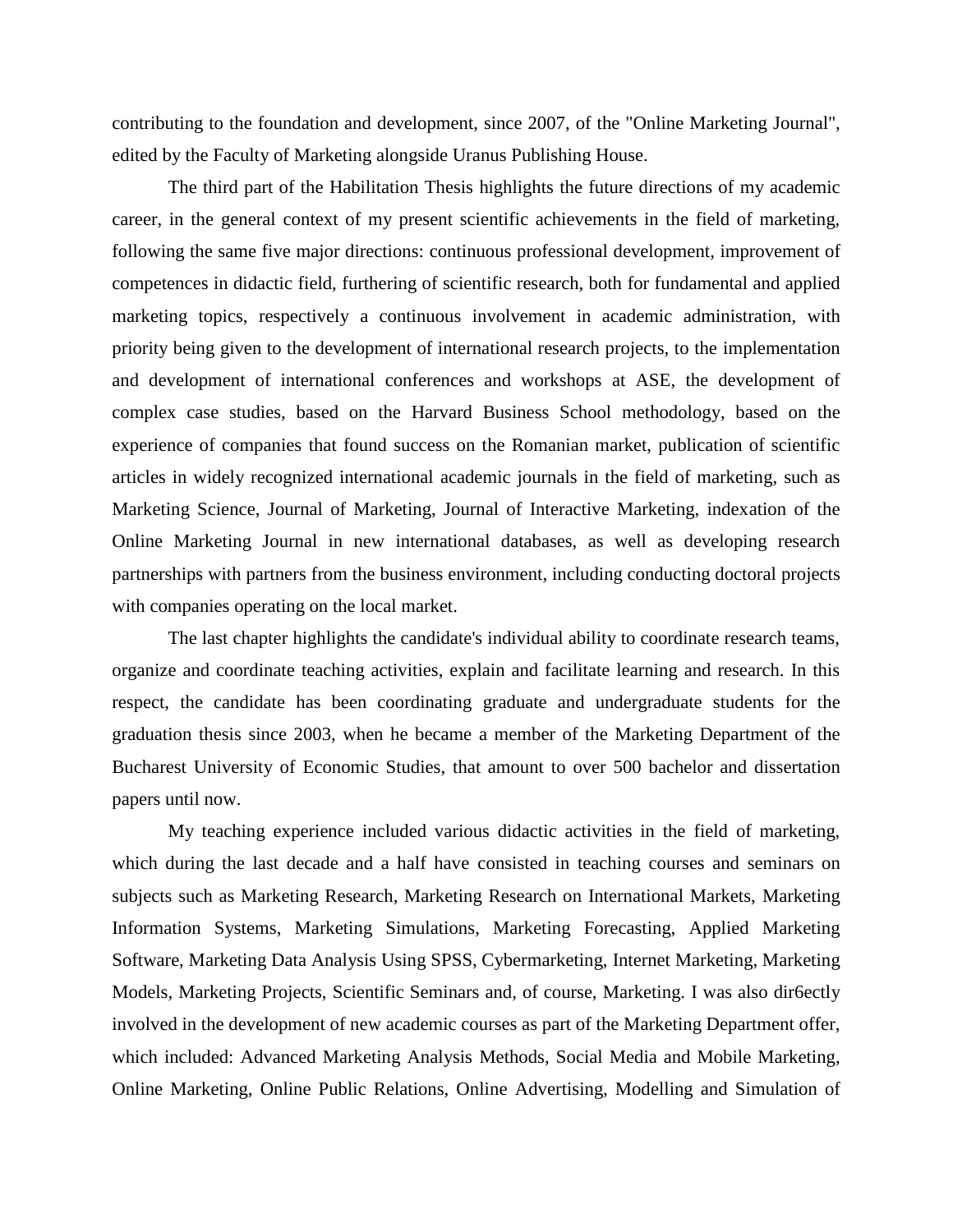contributing to the foundation and development, since 2007, of the "Online Marketing Journal", edited by the Faculty of Marketing alongside Uranus Publishing House.

The third part of the Habilitation Thesis highlights the future directions of my academic career, in the general context of my present scientific achievements in the field of marketing, following the same five major directions: continuous professional development, improvement of competences in didactic field, furthering of scientific research, both for fundamental and applied marketing topics, respectively a continuous involvement in academic administration, with priority being given to the development of international research projects, to the implementation and development of international conferences and workshops at ASE, the development of complex case studies, based on the Harvard Business School methodology, based on the experience of companies that found success on the Romanian market, publication of scientific articles in widely recognized international academic journals in the field of marketing, such as Marketing Science, Journal of Marketing, Journal of Interactive Marketing, indexation of the Online Marketing Journal in new international databases, as well as developing research partnerships with partners from the business environment, including conducting doctoral projects with companies operating on the local market.

The last chapter highlights the candidate's individual ability to coordinate research teams, organize and coordinate teaching activities, explain and facilitate learning and research. In this respect, the candidate has been coordinating graduate and undergraduate students for the graduation thesis since 2003, when he became a member of the Marketing Department of the Bucharest University of Economic Studies, that amount to over 500 bachelor and dissertation papers until now.

My teaching experience included various didactic activities in the field of marketing, which during the last decade and a half have consisted in teaching courses and seminars on subjects such as Marketing Research, Marketing Research on International Markets, Marketing Information Systems, Marketing Simulations, Marketing Forecasting, Applied Marketing Software, Marketing Data Analysis Using SPSS, Cybermarketing, Internet Marketing, Marketing Models, Marketing Projects, Scientific Seminars and, of course, Marketing. I was also dir6ectly involved in the development of new academic courses as part of the Marketing Department offer, which included: Advanced Marketing Analysis Methods, Social Media and Mobile Marketing, Online Marketing, Online Public Relations, Online Advertising, Modelling and Simulation of